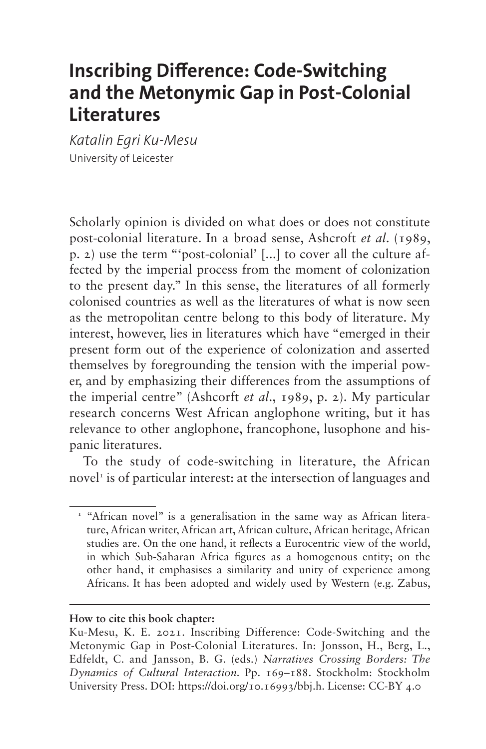# **Inscribing Difference: Code-Switching and the Metonymic Gap in Post-Colonial Literatures**

*Katalin Egri Ku-Mesu* University of Leicester

Scholarly opinion is divided on what does or does not constitute post-colonial literature. In a broad sense, Ashcroft *et al*. (1989, p. 2) use the term "'post-colonial' [...] to cover all the culture affected by the imperial process from the moment of colonization to the present day." In this sense, the literatures of all formerly colonised countries as well as the literatures of what is now seen as the metropolitan centre belong to this body of literature. My interest, however, lies in literatures which have "emerged in their present form out of the experience of colonization and asserted themselves by foregrounding the tension with the imperial power, and by emphasizing their differences from the assumptions of the imperial centre" (Ashcorft *et al*., 1989, p. 2). My particular research concerns West African anglophone writing, but it has relevance to other anglophone, francophone, lusophone and hispanic literatures.

To the study of code-switching in literature, the African novel<sup>1</sup> is of particular interest: at the intersection of languages and

#### **How to cite this book chapter:**

<span id="page-0-0"></span><sup>&</sup>lt;sup>1</sup> "African novel" is a generalisation in the same way as African literature, African writer, African art, African culture, African heritage, African studies are. On the one hand, it reflects a Eurocentric view of the world, in which Sub-Saharan Africa figures as a homogenous entity; on the other hand, it emphasises a similarity and unity of experience among Africans. It has been adopted and widely used by Western (e.g. Zabus,

Ku-Mesu, K. E. 2021. Inscribing Difference: Code-Switching and the Metonymic Gap in Post-Colonial Literatures. In: Jonsson, H., Berg, L., Edfeldt, C. and Jansson, B. G. (eds.) *Narratives Crossing Borders: The Dynamics of Cultural Interaction.* Pp. 169–188. Stockholm: Stockholm University Press. DOI: [https://doi.org/10.16993/bbj.h.](https://doi.org/10.16993/bbj.h) License: CC-BY 4.0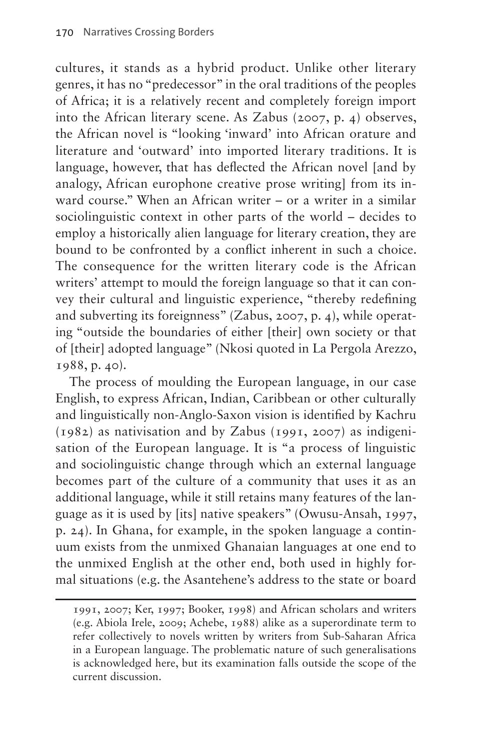cultures, it stands as a hybrid product. Unlike other literary genres, it has no "predecessor" in the oral traditions of the peoples of Africa; it is a relatively recent and completely foreign import into the African literary scene. As Zabus (2007, p. 4) observes, the African novel is "looking 'inward' into African orature and literature and 'outward' into imported literary traditions. It is language, however, that has deflected the African novel [and by analogy, African europhone creative prose writing] from its inward course." When an African writer – or a writer in a similar sociolinguistic context in other parts of the world – decides to employ a historically alien language for literary creation, they are bound to be confronted by a conflict inherent in such a choice. The consequence for the written literary code is the African writers' attempt to mould the foreign language so that it can convey their cultural and linguistic experience, "thereby redefining and subverting its foreignness" (Zabus, 2007, p. 4), while operating "outside the boundaries of either [their] own society or that of [their] adopted language" (Nkosi quoted in La Pergola Arezzo, 1988, p. 40).

The process of moulding the European language, in our case English, to express African, Indian, Caribbean or other culturally and linguistically non-Anglo-Saxon vision is identified by Kachru (1982) as nativisation and by Zabus (1991, 2007) as indigenisation of the European language. It is "a process of linguistic and sociolinguistic change through which an external language becomes part of the culture of a community that uses it as an additional language, while it still retains many features of the language as it is used by [its] native speakers" (Owusu-Ansah, 1997, p. 24). In Ghana, for example, in the spoken language a continuum exists from the unmixed Ghanaian languages at one end to the unmixed English at the other end, both used in highly formal situations (e.g. the Asantehene's address to the state or board

<sup>1991, 2007;</sup> Ker, 1997; Booker, 1998) and African scholars and writers (e.g. Abiola Irele, 2009; Achebe, 1988) alike as a superordinate term to refer collectively to novels written by writers from Sub-Saharan Africa in a European language. The problematic nature of such generalisations is acknowledged here, but its examination falls outside the scope of the current discussion.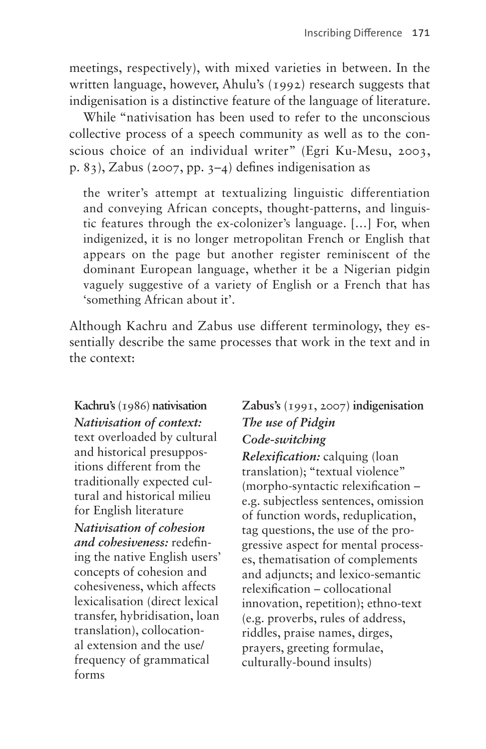meetings, respectively), with mixed varieties in between. In the written language, however, Ahulu's (1992) research suggests that indigenisation is a distinctive feature of the language of literature.

While "nativisation has been used to refer to the unconscious collective process of a speech community as well as to the conscious choice of an individual writer" (Egri Ku-Mesu, 2003, p. 83), Zabus (2007, pp. 3–4) defines indigenisation as

the writer's attempt at textualizing linguistic differentiation and conveying African concepts, thought-patterns, and linguistic features through the ex-colonizer's language. […] For, when indigenized, it is no longer metropolitan French or English that appears on the page but another register reminiscent of the dominant European language, whether it be a Nigerian pidgin vaguely suggestive of a variety of English or a French that has 'something African about it'.

Although Kachru and Zabus use different terminology, they essentially describe the same processes that work in the text and in the context:

### **Kachru's** (1986) **nativisation** *Nativisation of context:*

text overloaded by cultural and historical presuppositions different from the traditionally expected cultural and historical milieu for English literature *Nativisation of cohesion and cohesiveness:* redefining the native English users' concepts of cohesion and cohesiveness, which affects lexicalisation (direct lexical transfer, hybridisation, loan translation), collocational extension and the use/ frequency of grammatical forms

#### **Zabus's** (1991, 2007) **indigenisation** *The use of Pidgin Code-switching*

*Relexification:* calquing (loan translation); "textual violence" (morpho-syntactic relexification – e.g. subjectless sentences, omission of function words, reduplication, tag questions, the use of the progressive aspect for mental processes, thematisation of complements and adjuncts; and lexico-semantic relexification – collocational innovation, repetition); ethno-text (e.g. proverbs, rules of address, riddles, praise names, dirges, prayers, greeting formulae, culturally-bound insults)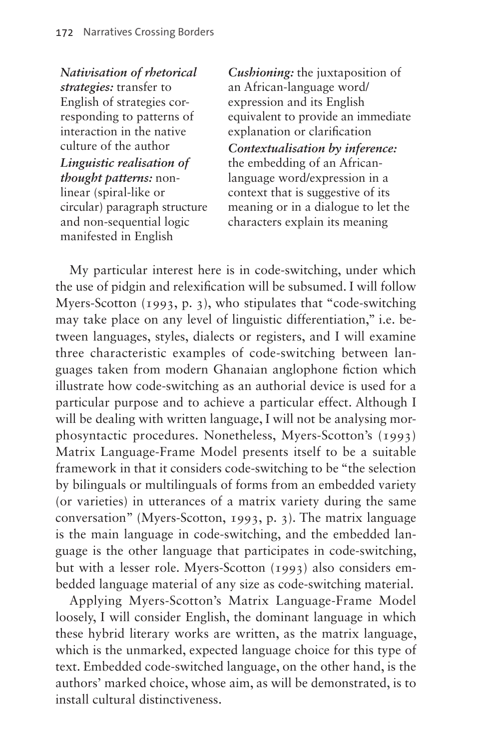*Nativisation of rhetorical strategies:* transfer to English of strategies corresponding to patterns of interaction in the native culture of the author *Linguistic realisation of thought patterns:* nonlinear (spiral-like or circular) paragraph structure and non-sequential logic manifested in English

*Cushioning:* the juxtaposition of an African-language word/ expression and its English equivalent to provide an immediate explanation or clarification *Contextualisation by inference:* the embedding of an Africanlanguage word/expression in a context that is suggestive of its meaning or in a dialogue to let the characters explain its meaning

My particular interest here is in code-switching, under which the use of pidgin and relexification will be subsumed. I will follow Myers-Scotton (1993, p. 3), who stipulates that "code-switching may take place on any level of linguistic differentiation," i.e. between languages, styles, dialects or registers, and I will examine three characteristic examples of code-switching between languages taken from modern Ghanaian anglophone fiction which illustrate how code-switching as an authorial device is used for a particular purpose and to achieve a particular effect. Although I will be dealing with written language, I will not be analysing morphosyntactic procedures. Nonetheless, Myers-Scotton's (1993) Matrix Language-Frame Model presents itself to be a suitable framework in that it considers code-switching to be "the selection by bilinguals or multilinguals of forms from an embedded variety (or varieties) in utterances of a matrix variety during the same conversation" (Myers-Scotton, 1993, p. 3). The matrix language is the main language in code-switching, and the embedded language is the other language that participates in code-switching, but with a lesser role. Myers-Scotton (1993) also considers embedded language material of any size as code-switching material.

Applying Myers-Scotton's Matrix Language-Frame Model loosely, I will consider English, the dominant language in which these hybrid literary works are written, as the matrix language, which is the unmarked, expected language choice for this type of text. Embedded code-switched language, on the other hand, is the authors' marked choice, whose aim, as will be demonstrated, is to install cultural distinctiveness.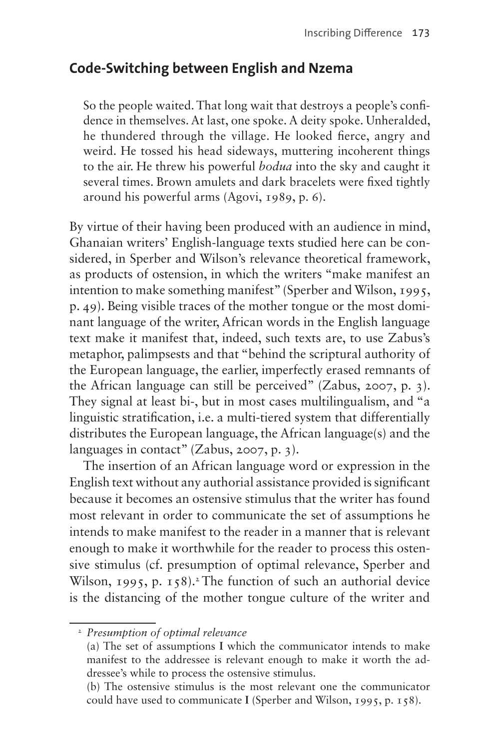### **Code-Switching between English and Nzema**

So the people waited. That long wait that destroys a people's confidence in themselves. At last, one spoke. A deity spoke. Unheralded, he thundered through the village. He looked fierce, angry and weird. He tossed his head sideways, muttering incoherent things to the air. He threw his powerful *bodua* into the sky and caught it several times. Brown amulets and dark bracelets were fixed tightly around his powerful arms (Agovi, 1989, p. 6).

By virtue of their having been produced with an audience in mind, Ghanaian writers' English-language texts studied here can be considered, in Sperber and Wilson's relevance theoretical framework, as products of ostension, in which the writers "make manifest an intention to make something manifest" (Sperber and Wilson, 1995, p. 49). Being visible traces of the mother tongue or the most dominant language of the writer, African words in the English language text make it manifest that, indeed, such texts are, to use Zabus's metaphor, palimpsests and that "behind the scriptural authority of the European language, the earlier, imperfectly erased remnants of the African language can still be perceived" (Zabus, 2007, p. 3). They signal at least bi-, but in most cases multilingualism, and "a linguistic stratification, i.e. a multi-tiered system that differentially distributes the European language, the African language(s) and the languages in contact" (Zabus, 2007, p. 3).

The insertion of an African language word or expression in the English text without any authorial assistance provided is significant because it becomes an ostensive stimulus that the writer has found most relevant in order to communicate the set of assumptions he intends to make manifest to the reader in a manner that is relevant enough to make it worthwhile for the reader to process this ostensive stimulus (cf. presumption of optimal relevance, Sperber and Wilson, 1995, p. 158).<sup>[2](#page-4-0)</sup> The function of such an authorial device is the distancing of the mother tongue culture of the writer and

<span id="page-4-0"></span><sup>2</sup> *Presumption of optimal relevance*

 <sup>(</sup>a) The set of assumptions **I** which the communicator intends to make manifest to the addressee is relevant enough to make it worth the addressee's while to process the ostensive stimulus.

 <sup>(</sup>b) The ostensive stimulus is the most relevant one the communicator could have used to communicate **I** (Sperber and Wilson, 1995, p. 158).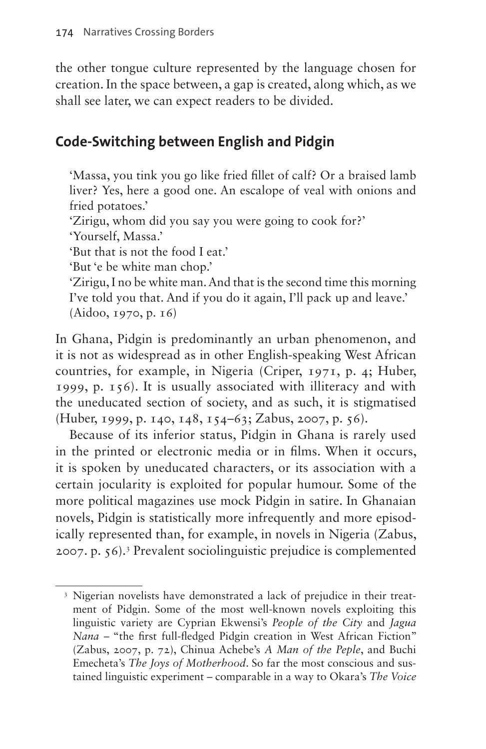the other tongue culture represented by the language chosen for creation. In the space between, a gap is created, along which, as we shall see later, we can expect readers to be divided.

# **Code-Switching between English and Pidgin**

'Massa, you tink you go like fried fillet of calf? Or a braised lamb liver? Yes, here a good one. An escalope of veal with onions and fried potatoes.'

'Zirigu, whom did you say you were going to cook for?'

'Yourself, Massa.'

'But that is not the food I eat.'

'But 'e be white man chop.'

'Zirigu, I no be white man. And that is the second time this morning I've told you that. And if you do it again, I'll pack up and leave.' (Aidoo, 1970, p. 16)

In Ghana, Pidgin is predominantly an urban phenomenon, and it is not as widespread as in other English-speaking West African countries, for example, in Nigeria (Criper, 1971, p. 4; Huber, 1999, p. 156). It is usually associated with illiteracy and with the uneducated section of society, and as such, it is stigmatised (Huber, 1999, p. 140, 148, 154–63; Zabus, 2007, p. 56).

Because of its inferior status, Pidgin in Ghana is rarely used in the printed or electronic media or in films. When it occurs, it is spoken by uneducated characters, or its association with a certain jocularity is exploited for popular humour. Some of the more political magazines use mock Pidgin in satire. In Ghanaian novels, Pidgin is statistically more infrequently and more episodically represented than, for example, in novels in Nigeria (Zabus, 2007. p. 56).[3](#page-5-0) Prevalent sociolinguistic prejudice is complemented

<span id="page-5-0"></span><sup>&</sup>lt;sup>3</sup> Nigerian novelists have demonstrated a lack of prejudice in their treatment of Pidgin. Some of the most well-known novels exploiting this linguistic variety are Cyprian Ekwensi's *People of the City* and *Jagua Nana* – "the first full-fledged Pidgin creation in West African Fiction" (Zabus, 2007, p. 72), Chinua Achebe's *A Man of the Peple*, and Buchi Emecheta's *The Joys of Motherhood*. So far the most conscious and sustained linguistic experiment – comparable in a way to Okara's *The Voice*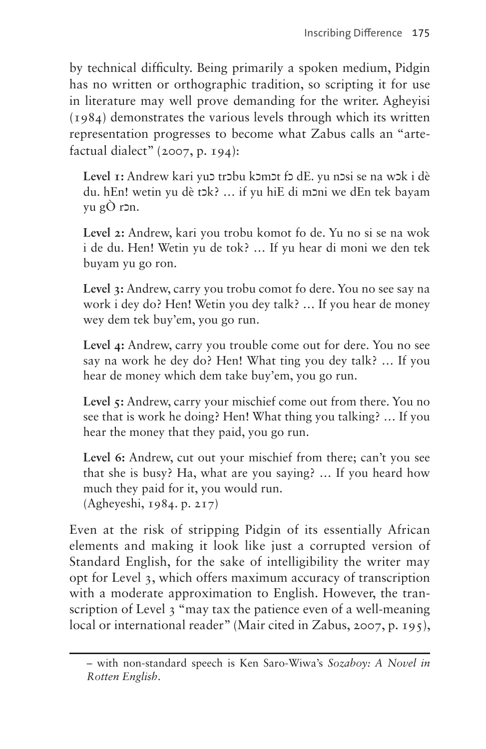by technical difficulty. Being primarily a spoken medium, Pidgin has no written or orthographic tradition, so scripting it for use in literature may well prove demanding for the writer. Agheyisi (1984) demonstrates the various levels through which its written representation progresses to become what Zabus calls an "artefactual dialect" (2007, p. 194):

**Level 1:** Andrew kari yuz trzbu kzmzt fz dE. yu nzsi se na wzk i dè du. hEn! wetin yu dè tɔk? ... if yu hiE di mɔni we dEn tek bayam yu gÒ r $2n$ .

**Level 2:** Andrew, kari you trobu komot fo de. Yu no si se na wok i de du. Hen! Wetin yu de tok? … If yu hear di moni we den tek buyam yu go ron.

**Level 3:** Andrew, carry you trobu comot fo dere. You no see say na work i dey do? Hen! Wetin you dey talk? … If you hear de money wey dem tek buy'em, you go run.

**Level 4:** Andrew, carry you trouble come out for dere. You no see say na work he dey do? Hen! What ting you dey talk? … If you hear de money which dem take buy'em, you go run.

Level 5: Andrew, carry your mischief come out from there. You no see that is work he doing? Hen! What thing you talking? … If you hear the money that they paid, you go run.

**Level 6:** Andrew, cut out your mischief from there; can't you see that she is busy? Ha, what are you saying? … If you heard how much they paid for it, you would run. (Agheyeshi, 1984. p. 217)

Even at the risk of stripping Pidgin of its essentially African elements and making it look like just a corrupted version of Standard English, for the sake of intelligibility the writer may opt for Level 3, which offers maximum accuracy of transcription with a moderate approximation to English. However, the transcription of Level 3 "may tax the patience even of a well-meaning local or international reader" (Mair cited in Zabus, 2007, p. 195),

<sup>–</sup> with non-standard speech is Ken Saro-Wiwa's *Sozaboy: A Novel in Rotten English*.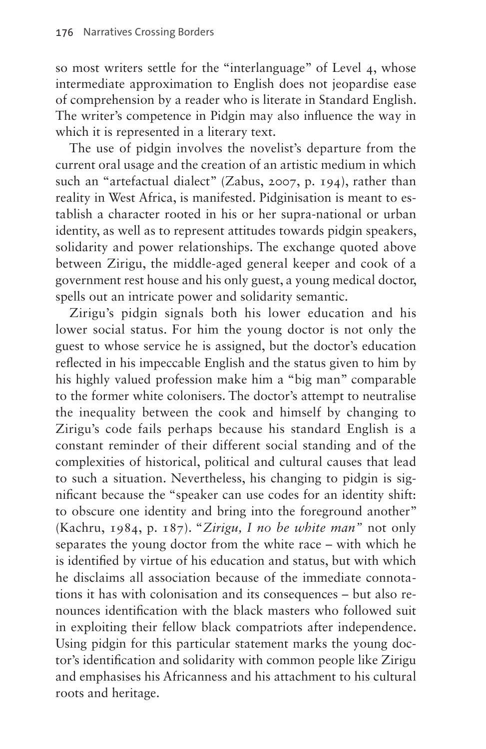so most writers settle for the "interlanguage" of Level 4, whose intermediate approximation to English does not jeopardise ease of comprehension by a reader who is literate in Standard English. The writer's competence in Pidgin may also influence the way in which it is represented in a literary text.

The use of pidgin involves the novelist's departure from the current oral usage and the creation of an artistic medium in which such an "artefactual dialect" (Zabus, 2007, p. 194), rather than reality in West Africa, is manifested. Pidginisation is meant to establish a character rooted in his or her supra-national or urban identity, as well as to represent attitudes towards pidgin speakers, solidarity and power relationships. The exchange quoted above between Zirigu, the middle-aged general keeper and cook of a government rest house and his only guest, a young medical doctor, spells out an intricate power and solidarity semantic.

Zirigu's pidgin signals both his lower education and his lower social status. For him the young doctor is not only the guest to whose service he is assigned, but the doctor's education reflected in his impeccable English and the status given to him by his highly valued profession make him a "big man" comparable to the former white colonisers. The doctor's attempt to neutralise the inequality between the cook and himself by changing to Zirigu's code fails perhaps because his standard English is a constant reminder of their different social standing and of the complexities of historical, political and cultural causes that lead to such a situation. Nevertheless, his changing to pidgin is significant because the "speaker can use codes for an identity shift: to obscure one identity and bring into the foreground another" (Kachru, 1984, p. 187). "*Zirigu, I no be white man"* not only separates the young doctor from the white race – with which he is identified by virtue of his education and status, but with which he disclaims all association because of the immediate connotations it has with colonisation and its consequences – but also renounces identification with the black masters who followed suit in exploiting their fellow black compatriots after independence. Using pidgin for this particular statement marks the young doctor's identification and solidarity with common people like Zirigu and emphasises his Africanness and his attachment to his cultural roots and heritage.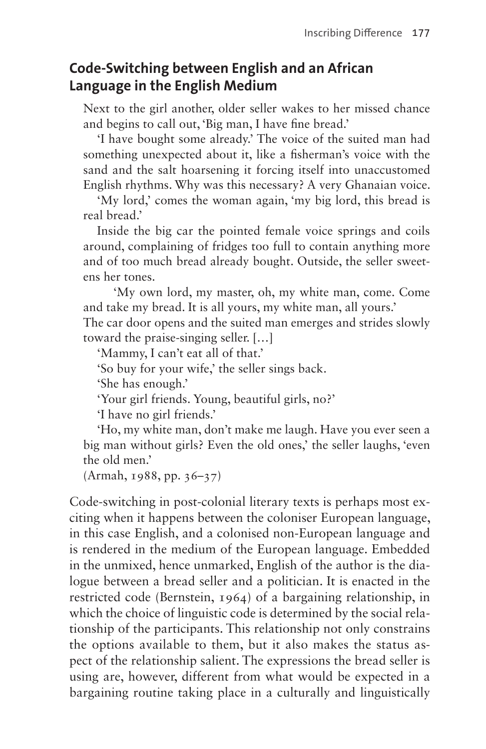# **Code-Switching between English and an African Language in the English Medium**

Next to the girl another, older seller wakes to her missed chance and begins to call out, 'Big man, I have fine bread.'

'I have bought some already.' The voice of the suited man had something unexpected about it, like a fisherman's voice with the sand and the salt hoarsening it forcing itself into unaccustomed English rhythms. Why was this necessary? A very Ghanaian voice.

'My lord,' comes the woman again, 'my big lord, this bread is real bread.'

Inside the big car the pointed female voice springs and coils around, complaining of fridges too full to contain anything more and of too much bread already bought. Outside, the seller sweetens her tones.

'My own lord, my master, oh, my white man, come. Come and take my bread. It is all yours, my white man, all yours.'

The car door opens and the suited man emerges and strides slowly toward the praise-singing seller. […]

'Mammy, I can't eat all of that.'

'So buy for your wife,' the seller sings back.

'She has enough.'

'Your girl friends. Young, beautiful girls, no?'

'I have no girl friends.'

'Ho, my white man, don't make me laugh. Have you ever seen a big man without girls? Even the old ones,' the seller laughs, 'even the old men.'

(Armah, 1988, pp. 36–37)

Code-switching in post-colonial literary texts is perhaps most exciting when it happens between the coloniser European language, in this case English, and a colonised non-European language and is rendered in the medium of the European language. Embedded in the unmixed, hence unmarked, English of the author is the dialogue between a bread seller and a politician. It is enacted in the restricted code (Bernstein, 1964) of a bargaining relationship, in which the choice of linguistic code is determined by the social relationship of the participants. This relationship not only constrains the options available to them, but it also makes the status aspect of the relationship salient. The expressions the bread seller is using are, however, different from what would be expected in a bargaining routine taking place in a culturally and linguistically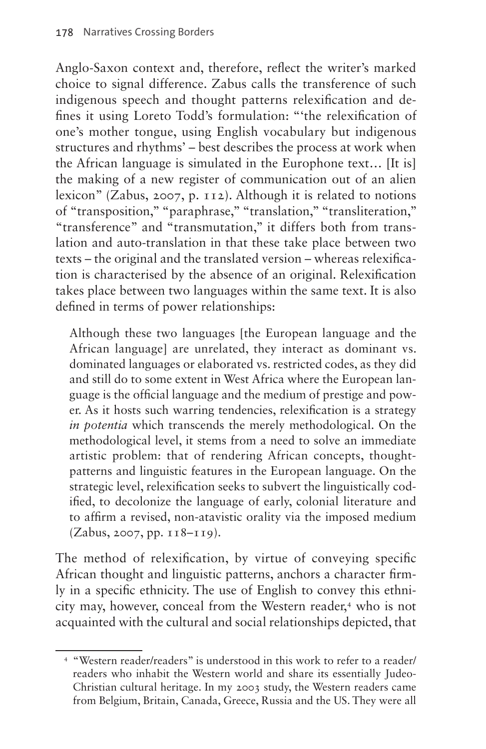Anglo-Saxon context and, therefore, reflect the writer's marked choice to signal difference. Zabus calls the transference of such indigenous speech and thought patterns relexification and defines it using Loreto Todd's formulation: "'the relexification of one's mother tongue, using English vocabulary but indigenous structures and rhythms' – best describes the process at work when the African language is simulated in the Europhone text… [It is] the making of a new register of communication out of an alien lexicon" (Zabus, 2007, p. 112). Although it is related to notions of "transposition," "paraphrase," "translation," "transliteration," "transference" and "transmutation," it differs both from translation and auto-translation in that these take place between two texts – the original and the translated version – whereas relexification is characterised by the absence of an original. Relexification takes place between two languages within the same text. It is also defined in terms of power relationships:

Although these two languages [the European language and the African language] are unrelated, they interact as dominant vs. dominated languages or elaborated vs. restricted codes, as they did and still do to some extent in West Africa where the European language is the official language and the medium of prestige and power. As it hosts such warring tendencies, relexification is a strategy *in potentia* which transcends the merely methodological. On the methodological level, it stems from a need to solve an immediate artistic problem: that of rendering African concepts, thoughtpatterns and linguistic features in the European language. On the strategic level, relexification seeks to subvert the linguistically codified, to decolonize the language of early, colonial literature and to affirm a revised, non-atavistic orality via the imposed medium (Zabus, 2007, pp. 118–119).

The method of relexification, by virtue of conveying specific African thought and linguistic patterns, anchors a character firmly in a specific ethnicity. The use of English to convey this ethni-city may, however, conceal from the Western reader,<sup>[4](#page-9-0)</sup> who is not acquainted with the cultural and social relationships depicted, that

<span id="page-9-0"></span><sup>4</sup> "Western reader/readers" is understood in this work to refer to a reader/ readers who inhabit the Western world and share its essentially Judeo-Christian cultural heritage. In my 2003 study, the Western readers came from Belgium, Britain, Canada, Greece, Russia and the US. They were all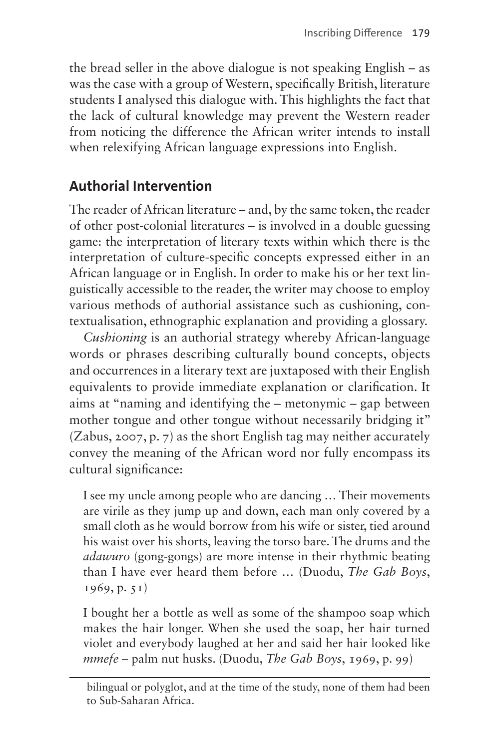the bread seller in the above dialogue is not speaking English – as was the case with a group of Western, specifically British, literature students I analysed this dialogue with. This highlights the fact that the lack of cultural knowledge may prevent the Western reader from noticing the difference the African writer intends to install when relexifying African language expressions into English.

# **Authorial Intervention**

The reader of African literature – and, by the same token, the reader of other post-colonial literatures – is involved in a double guessing game: the interpretation of literary texts within which there is the interpretation of culture-specific concepts expressed either in an African language or in English. In order to make his or her text linguistically accessible to the reader, the writer may choose to employ various methods of authorial assistance such as cushioning, contextualisation, ethnographic explanation and providing a glossary.

*Cushioning* is an authorial strategy whereby African-language words or phrases describing culturally bound concepts, objects and occurrences in a literary text are juxtaposed with their English equivalents to provide immediate explanation or clarification. It aims at "naming and identifying the – metonymic – gap between mother tongue and other tongue without necessarily bridging it" (Zabus, 2007, p. 7) as the short English tag may neither accurately convey the meaning of the African word nor fully encompass its cultural significance:

I see my uncle among people who are dancing … Their movements are virile as they jump up and down, each man only covered by a small cloth as he would borrow from his wife or sister, tied around his waist over his shorts, leaving the torso bare. The drums and the *adawuro* (gong-gongs) are more intense in their rhythmic beating than I have ever heard them before … (Duodu, *The Gab Boys*, 1969, p. 51)

I bought her a bottle as well as some of the shampoo soap which makes the hair longer. When she used the soap, her hair turned violet and everybody laughed at her and said her hair looked like *mmefe* – palm nut husks. (Duodu, *The Gab Boys*, 1969, p. 99)

bilingual or polyglot, and at the time of the study, none of them had been to Sub-Saharan Africa.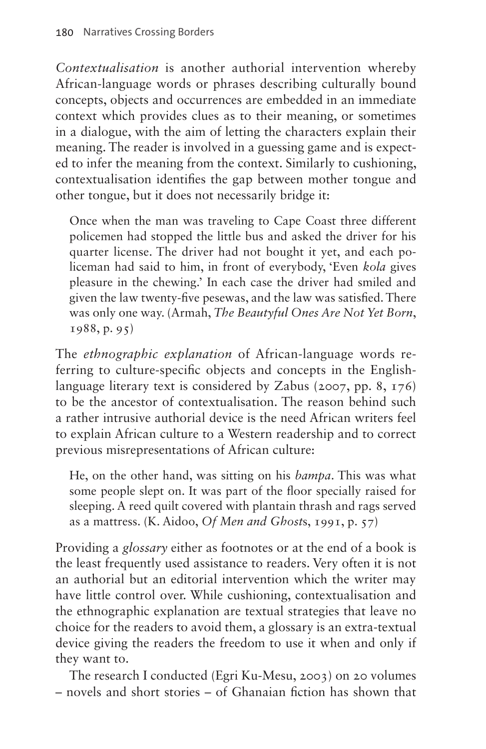*Contextualisation* is another authorial intervention whereby African-language words or phrases describing culturally bound concepts, objects and occurrences are embedded in an immediate context which provides clues as to their meaning, or sometimes in a dialogue, with the aim of letting the characters explain their meaning. The reader is involved in a guessing game and is expected to infer the meaning from the context. Similarly to cushioning, contextualisation identifies the gap between mother tongue and other tongue, but it does not necessarily bridge it:

Once when the man was traveling to Cape Coast three different policemen had stopped the little bus and asked the driver for his quarter license. The driver had not bought it yet, and each policeman had said to him, in front of everybody, 'Even *kola* gives pleasure in the chewing.' In each case the driver had smiled and given the law twenty-five pesewas, and the law was satisfied. There was only one way. (Armah, *The Beautyful Ones Are Not Yet Born*, 1988, p. 95)

The *ethnographic explanation* of African-language words referring to culture-specific objects and concepts in the Englishlanguage literary text is considered by Zabus (2007, pp. 8, 176) to be the ancestor of contextualisation. The reason behind such a rather intrusive authorial device is the need African writers feel to explain African culture to a Western readership and to correct previous misrepresentations of African culture:

He, on the other hand, was sitting on his *bampa*. This was what some people slept on. It was part of the floor specially raised for sleeping. A reed quilt covered with plantain thrash and rags served as a mattress. (K. Aidoo, *Of Men and Ghost*s, 1991, p. 57)

Providing a *glossary* either as footnotes or at the end of a book is the least frequently used assistance to readers. Very often it is not an authorial but an editorial intervention which the writer may have little control over. While cushioning, contextualisation and the ethnographic explanation are textual strategies that leave no choice for the readers to avoid them, a glossary is an extra-textual device giving the readers the freedom to use it when and only if they want to.

The research I conducted (Egri Ku-Mesu, 2003) on 20 volumes – novels and short stories – of Ghanaian fiction has shown that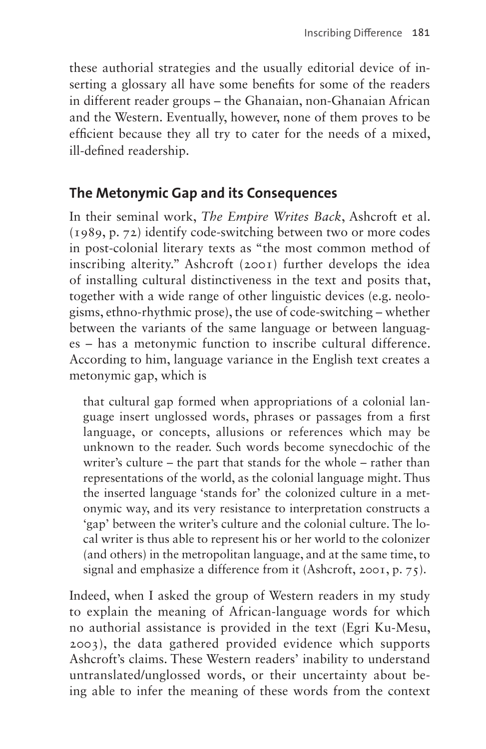these authorial strategies and the usually editorial device of inserting a glossary all have some benefits for some of the readers in different reader groups – the Ghanaian, non-Ghanaian African and the Western. Eventually, however, none of them proves to be efficient because they all try to cater for the needs of a mixed, ill-defined readership.

#### **The Metonymic Gap and its Consequences**

In their seminal work, *The Empire Writes Back*, Ashcroft et al. (1989, p. 72) identify code-switching between two or more codes in post-colonial literary texts as "the most common method of inscribing alterity." Ashcroft (2001) further develops the idea of installing cultural distinctiveness in the text and posits that, together with a wide range of other linguistic devices (e.g. neologisms, ethno-rhythmic prose), the use of code-switching – whether between the variants of the same language or between languages – has a metonymic function to inscribe cultural difference. According to him, language variance in the English text creates a metonymic gap, which is

that cultural gap formed when appropriations of a colonial language insert unglossed words, phrases or passages from a first language, or concepts, allusions or references which may be unknown to the reader. Such words become synecdochic of the writer's culture – the part that stands for the whole – rather than representations of the world, as the colonial language might. Thus the inserted language 'stands for' the colonized culture in a metonymic way, and its very resistance to interpretation constructs a 'gap' between the writer's culture and the colonial culture. The local writer is thus able to represent his or her world to the colonizer (and others) in the metropolitan language, and at the same time, to signal and emphasize a difference from it (Ashcroft, 2001, p. 75).

Indeed, when I asked the group of Western readers in my study to explain the meaning of African-language words for which no authorial assistance is provided in the text (Egri Ku-Mesu, 2003), the data gathered provided evidence which supports Ashcroft's claims. These Western readers' inability to understand untranslated/unglossed words, or their uncertainty about being able to infer the meaning of these words from the context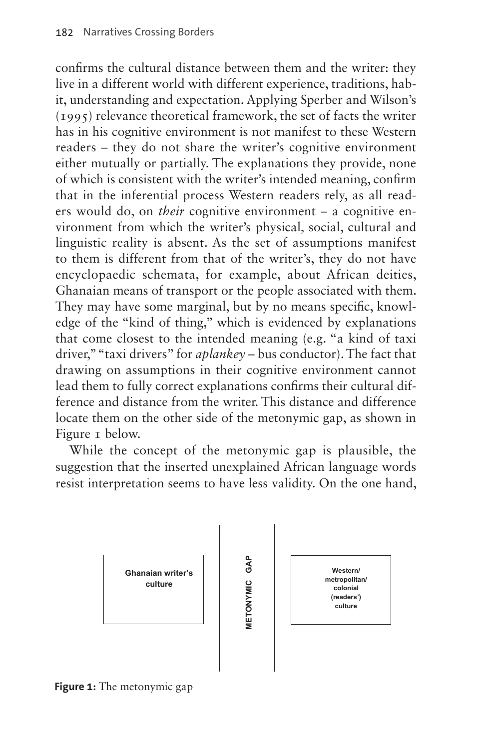confirms the cultural distance between them and the writer: they live in a different world with different experience, traditions, habit, understanding and expectation. Applying Sperber and Wilson's (1995) relevance theoretical framework, the set of facts the writer has in his cognitive environment is not manifest to these Western readers – they do not share the writer's cognitive environment either mutually or partially. The explanations they provide, none of which is consistent with the writer's intended meaning, confirm that in the inferential process Western readers rely, as all readers would do, on *their* cognitive environment – a cognitive environment from which the writer's physical, social, cultural and linguistic reality is absent. As the set of assumptions manifest to them is different from that of the writer's, they do not have encyclopaedic schemata, for example, about African deities, Ghanaian means of transport or the people associated with them. They may have some marginal, but by no means specific, knowledge of the "kind of thing," which is evidenced by explanations that come closest to the intended meaning (e.g. "a kind of taxi driver," "taxi drivers" for *aplankey* – bus conductor). The fact that drawing on assumptions in their cognitive environment cannot lead them to fully correct explanations confirms their cultural difference and distance from the writer. This distance and difference locate them on the other side of the metonymic gap, as shown in [Figure 1](#page-13-0) below.

While the concept of the metonymic gap is plausible, the suggestion that the inserted unexplained African language words resist interpretation seems to have less validity. On the one hand,



<span id="page-13-0"></span>**Figure 1:** The metonymic gap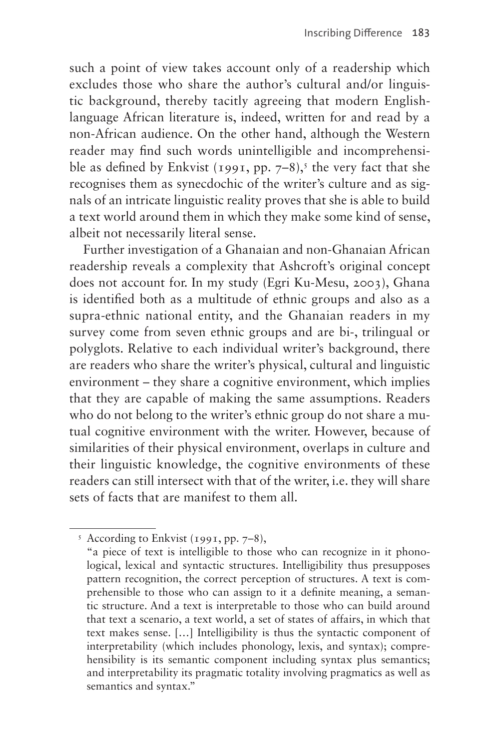such a point of view takes account only of a readership which excludes those who share the author's cultural and/or linguistic background, thereby tacitly agreeing that modern Englishlanguage African literature is, indeed, written for and read by a non-African audience. On the other hand, although the Western reader may find such words unintelligible and incomprehensible as defined by Enkvist (1991, pp.  $7-8$ ),<sup>5</sup> the very fact that she recognises them as synecdochic of the writer's culture and as signals of an intricate linguistic reality proves that she is able to build a text world around them in which they make some kind of sense, albeit not necessarily literal sense.

Further investigation of a Ghanaian and non-Ghanaian African readership reveals a complexity that Ashcroft's original concept does not account for. In my study (Egri Ku-Mesu, 2003), Ghana is identified both as a multitude of ethnic groups and also as a supra-ethnic national entity, and the Ghanaian readers in my survey come from seven ethnic groups and are bi-, trilingual or polyglots. Relative to each individual writer's background, there are readers who share the writer's physical, cultural and linguistic environment – they share a cognitive environment, which implies that they are capable of making the same assumptions. Readers who do not belong to the writer's ethnic group do not share a mutual cognitive environment with the writer. However, because of similarities of their physical environment, overlaps in culture and their linguistic knowledge, the cognitive environments of these readers can still intersect with that of the writer, i.e. they will share sets of facts that are manifest to them all.

<span id="page-14-0"></span><sup>&</sup>lt;sup>5</sup> According to Enkvist (1991, pp. 7–8),

 <sup>&</sup>quot;a piece of text is intelligible to those who can recognize in it phonological, lexical and syntactic structures. Intelligibility thus presupposes pattern recognition, the correct perception of structures. A text is comprehensible to those who can assign to it a definite meaning, a semantic structure. And a text is interpretable to those who can build around that text a scenario, a text world, a set of states of affairs, in which that text makes sense. […] Intelligibility is thus the syntactic component of interpretability (which includes phonology, lexis, and syntax); comprehensibility is its semantic component including syntax plus semantics; and interpretability its pragmatic totality involving pragmatics as well as semantics and syntax."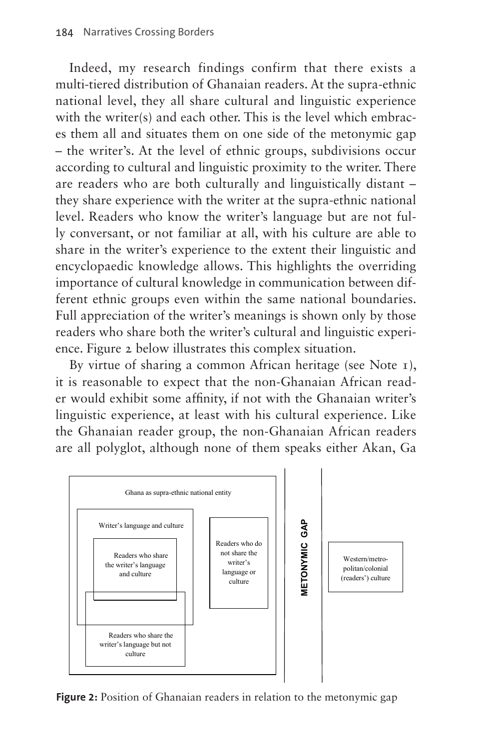Indeed, my research findings confirm that there exists a multi-tiered distribution of Ghanaian readers. At the supra-ethnic national level, they all share cultural and linguistic experience with the writer(s) and each other. This is the level which embraces them all and situates them on one side of the metonymic gap – the writer's. At the level of ethnic groups, subdivisions occur according to cultural and linguistic proximity to the writer. There are readers who are both culturally and linguistically distant – they share experience with the writer at the supra-ethnic national level. Readers who know the writer's language but are not fully conversant, or not familiar at all, with his culture are able to share in the writer's experience to the extent their linguistic and encyclopaedic knowledge allows. This highlights the overriding importance of cultural knowledge in communication between different ethnic groups even within the same national boundaries. Full appreciation of the writer's meanings is shown only by those readers who share both the writer's cultural and linguistic experience. [Figure 2](#page-15-0) below illustrates this complex situation.

By virtue of sharing a common African heritage (see Note 1), it is reasonable to expect that the non-Ghanaian African reader would exhibit some affinity, if not with the Ghanaian writer's linguistic experience, at least with his cultural experience. Like the Ghanaian reader group, the non-Ghanaian African readers are all polyglot, although none of them speaks either Akan, Ga



<span id="page-15-0"></span>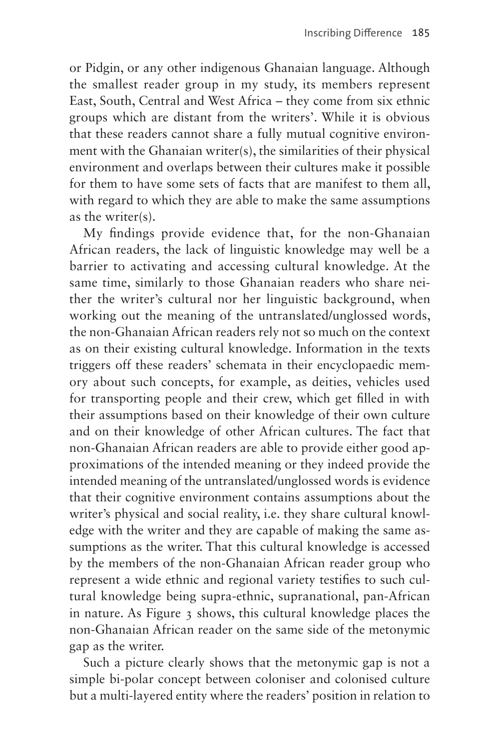or Pidgin, or any other indigenous Ghanaian language. Although the smallest reader group in my study, its members represent East, South, Central and West Africa – they come from six ethnic groups which are distant from the writers'. While it is obvious that these readers cannot share a fully mutual cognitive environment with the Ghanaian writer(s), the similarities of their physical environment and overlaps between their cultures make it possible for them to have some sets of facts that are manifest to them all, with regard to which they are able to make the same assumptions as the writer(s).

My findings provide evidence that, for the non-Ghanaian African readers, the lack of linguistic knowledge may well be a barrier to activating and accessing cultural knowledge. At the same time, similarly to those Ghanaian readers who share neither the writer's cultural nor her linguistic background, when working out the meaning of the untranslated/unglossed words, the non-Ghanaian African readers rely not so much on the context as on their existing cultural knowledge. Information in the texts triggers off these readers' schemata in their encyclopaedic memory about such concepts, for example, as deities, vehicles used for transporting people and their crew, which get filled in with their assumptions based on their knowledge of their own culture and on their knowledge of other African cultures. The fact that non-Ghanaian African readers are able to provide either good approximations of the intended meaning or they indeed provide the intended meaning of the untranslated/unglossed words is evidence that their cognitive environment contains assumptions about the writer's physical and social reality, i.e. they share cultural knowledge with the writer and they are capable of making the same assumptions as the writer. That this cultural knowledge is accessed by the members of the non-Ghanaian African reader group who represent a wide ethnic and regional variety testifies to such cultural knowledge being supra-ethnic, supranational, pan-African in nature. As [Figure 3](#page-17-0) shows, this cultural knowledge places the non-Ghanaian African reader on the same side of the metonymic gap as the writer.

Such a picture clearly shows that the metonymic gap is not a simple bi-polar concept between coloniser and colonised culture but a multi-layered entity where the readers' position in relation to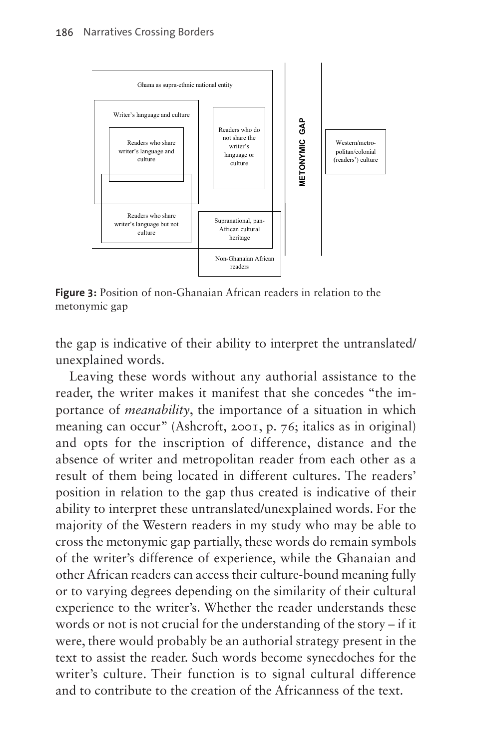

<span id="page-17-0"></span>**Figure 3:** Position of non-Ghanaian African readers in relation to the metonymic gap

the gap is indicative of their ability to interpret the untranslated/ unexplained words.

Leaving these words without any authorial assistance to the reader, the writer makes it manifest that she concedes "the importance of *meanability*, the importance of a situation in which meaning can occur" (Ashcroft, 2001, p. 76; italics as in original) and opts for the inscription of difference, distance and the absence of writer and metropolitan reader from each other as a result of them being located in different cultures. The readers' position in relation to the gap thus created is indicative of their ability to interpret these untranslated/unexplained words. For the majority of the Western readers in my study who may be able to cross the metonymic gap partially, these words do remain symbols of the writer's difference of experience, while the Ghanaian and other African readers can access their culture-bound meaning fully or to varying degrees depending on the similarity of their cultural experience to the writer's. Whether the reader understands these words or not is not crucial for the understanding of the story – if it were, there would probably be an authorial strategy present in the text to assist the reader. Such words become synecdoches for the writer's culture. Their function is to signal cultural difference and to contribute to the creation of the Africanness of the text.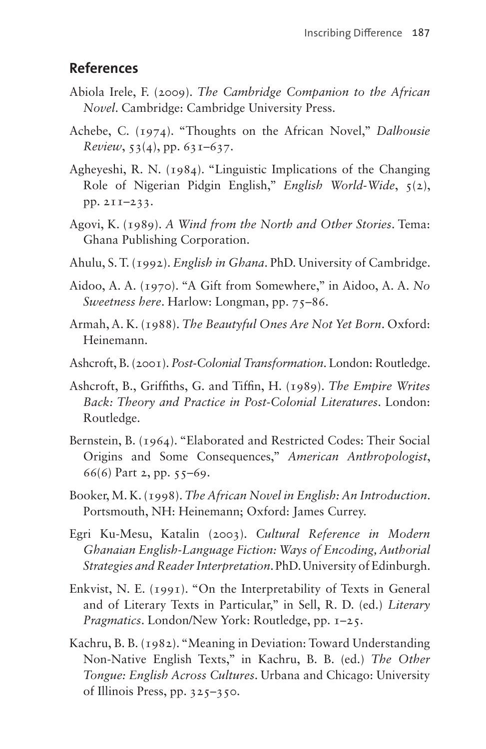#### **References**

- Abiola Irele, F. (2009). *The Cambridge Companion to the African Novel*. Cambridge: Cambridge University Press.
- Achebe, C. (1974). "Thoughts on the African Novel," *Dalhousie Review*, 53(4), pp. 631–637.
- Agheyeshi, R. N. (1984). "Linguistic Implications of the Changing Role of Nigerian Pidgin English," *English World-Wide*, 5(2), pp. 211–233.
- Agovi, K. (1989). *A Wind from the North and Other Stories*. Tema: Ghana Publishing Corporation.
- Ahulu, S. T. (1992). *English in Ghana*. PhD. University of Cambridge.
- Aidoo, A. A. (1970). "A Gift from Somewhere," in Aidoo, A. A. *No Sweetness here*. Harlow: Longman, pp. 75–86.
- Armah, A. K. (1988). *The Beautyful Ones Are Not Yet Born*. Oxford: Heinemann.
- Ashcroft, B. (2001). *Post-Colonial Transformation*. London: Routledge.
- Ashcroft, B., Griffiths, G. and Tiffin, H. (1989). *The Empire Writes Back: Theory and Practice in Post-Colonial Literatures*. London: Routledge.
- Bernstein, B. (1964). "Elaborated and Restricted Codes: Their Social Origins and Some Consequences," *American Anthropologist*, 66(6) Part 2, pp. 55–69.
- Booker, M. K. (1998). *The African Novel in English: An Introduction*. Portsmouth, NH: Heinemann; Oxford: James Currey.
- Egri Ku-Mesu, Katalin (2003). *Cultural Reference in Modern Ghanaian English-Language Fiction: Ways of Encoding, Authorial Strategies and Reader Interpretation*. PhD. University of Edinburgh.
- Enkvist, N. E. (1991). "On the Interpretability of Texts in General and of Literary Texts in Particular," in Sell, R. D. (ed.) *Literary Pragmatics*. London/New York: Routledge, pp. 1–25.
- Kachru, B. B. (1982). "Meaning in Deviation: Toward Understanding Non-Native English Texts," in Kachru, B. B. (ed.) *The Other Tongue: English Across Cultures*. Urbana and Chicago: University of Illinois Press, pp. 325–350.